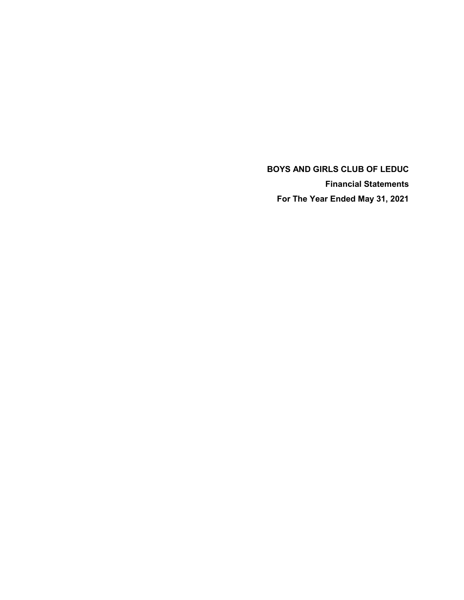BOYS AND GIRLS CLUB OF LEDUC Financial Statements For The Year Ended May 31, 2021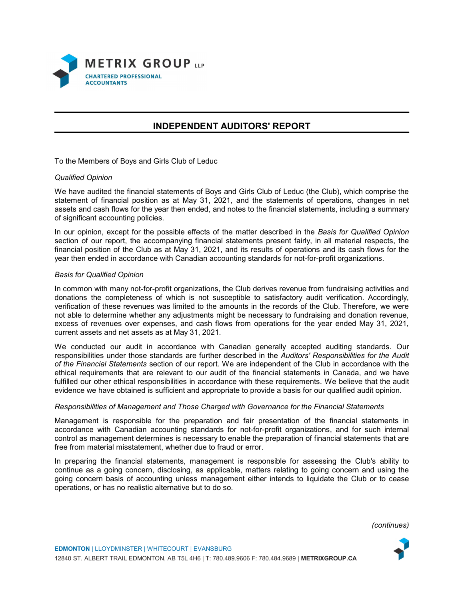

# INDEPENDENT AUDITORS' REPORT

To the Members of Boys and Girls Club of Leduc

#### Qualified Opinion

We have audited the financial statements of Boys and Girls Club of Leduc (the Club), which comprise the statement of financial position as at May 31, 2021, and the statements of operations, changes in net assets and cash flows for the year then ended, and notes to the financial statements, including a summary of significant accounting policies.

In our opinion, except for the possible effects of the matter described in the Basis for Qualified Opinion section of our report, the accompanying financial statements present fairly, in all material respects, the financial position of the Club as at May 31, 2021, and its results of operations and its cash flows for the year then ended in accordance with Canadian accounting standards for not-for-profit organizations.

#### Basis for Qualified Opinion

In common with many not-for-profit organizations, the Club derives revenue from fundraising activities and donations the completeness of which is not susceptible to satisfactory audit verification. Accordingly, verification of these revenues was limited to the amounts in the records of the Club. Therefore, we were not able to determine whether any adjustments might be necessary to fundraising and donation revenue, excess of revenues over expenses, and cash flows from operations for the year ended May 31, 2021, current assets and net assets as at May 31, 2021.

We conducted our audit in accordance with Canadian generally accepted auditing standards. Our responsibilities under those standards are further described in the Auditors' Responsibilities for the Audit of the Financial Statements section of our report. We are independent of the Club in accordance with the ethical requirements that are relevant to our audit of the financial statements in Canada, and we have fulfilled our other ethical responsibilities in accordance with these requirements. We believe that the audit evidence we have obtained is sufficient and appropriate to provide a basis for our qualified audit opinion.

#### Responsibilities of Management and Those Charged with Governance for the Financial Statements

Management is responsible for the preparation and fair presentation of the financial statements in accordance with Canadian accounting standards for not-for-profit organizations, and for such internal control as management determines is necessary to enable the preparation of financial statements that are free from material misstatement, whether due to fraud or error.

In preparing the financial statements, management is responsible for assessing the Club's ability to continue as a going concern, disclosing, as applicable, matters relating to going concern and using the going concern basis of accounting unless management either intends to liquidate the Club or to cease operations, or has no realistic alternative but to do so.

(continues)

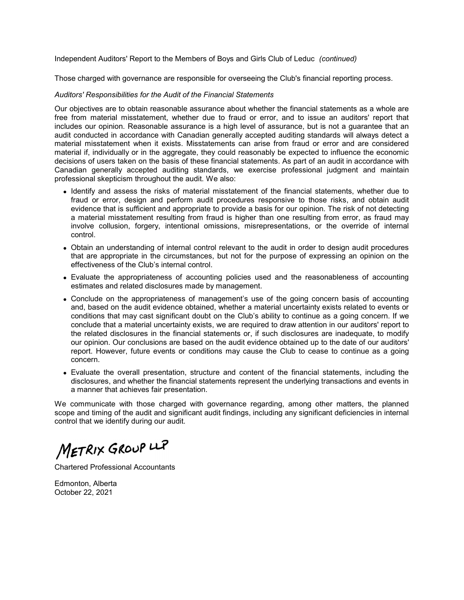Independent Auditors' Report to the Members of Boys and Girls Club of Leduc (continued)

Those charged with governance are responsible for overseeing the Club's financial reporting process.

#### Auditors' Responsibilities for the Audit of the Financial Statements

Our objectives are to obtain reasonable assurance about whether the financial statements as a whole are free from material misstatement, whether due to fraud or error, and to issue an auditors' report that includes our opinion. Reasonable assurance is a high level of assurance, but is not a guarantee that an audit conducted in accordance with Canadian generally accepted auditing standards will always detect a material misstatement when it exists. Misstatements can arise from fraud or error and are considered material if, individually or in the aggregate, they could reasonably be expected to influence the economic decisions of users taken on the basis of these financial statements. As part of an audit in accordance with Canadian generally accepted auditing standards, we exercise professional judgment and maintain professional skepticism throughout the audit. We also:

- Identify and assess the risks of material misstatement of the financial statements, whether due to fraud or error, design and perform audit procedures responsive to those risks, and obtain audit evidence that is sufficient and appropriate to provide a basis for our opinion. The risk of not detecting a material misstatement resulting from fraud is higher than one resulting from error, as fraud may involve collusion, forgery, intentional omissions, misrepresentations, or the override of internal control.
- Obtain an understanding of internal control relevant to the audit in order to design audit procedures that are appropriate in the circumstances, but not for the purpose of expressing an opinion on the effectiveness of the Club's internal control.
- Evaluate the appropriateness of accounting policies used and the reasonableness of accounting estimates and related disclosures made by management.
- Conclude on the appropriateness of management's use of the going concern basis of accounting and, based on the audit evidence obtained, whether a material uncertainty exists related to events or conditions that may cast significant doubt on the Club's ability to continue as a going concern. If we conclude that a material uncertainty exists, we are required to draw attention in our auditors' report to the related disclosures in the financial statements or, if such disclosures are inadequate, to modify our opinion. Our conclusions are based on the audit evidence obtained up to the date of our auditors' report. However, future events or conditions may cause the Club to cease to continue as a going concern.
- Evaluate the overall presentation, structure and content of the financial statements, including the disclosures, and whether the financial statements represent the underlying transactions and events in a manner that achieves fair presentation.

We communicate with those charged with governance regarding, among other matters, the planned scope and timing of the audit and significant audit findings, including any significant deficiencies in internal control that we identify during our audit.

METRIX GROUP LLP

Chartered Professional Accountants

Edmonton, Alberta October 22, 2021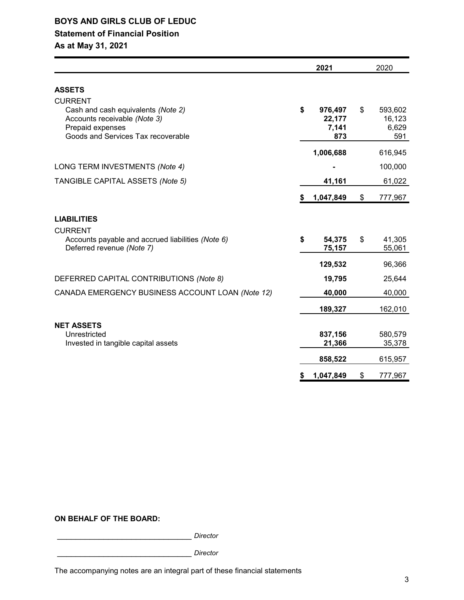# BOYS AND GIRLS CLUB OF LEDUC Statement of Financial Position As at May 31, 2021

|                                                                                                                                                | 2021                                    | 2020                                    |
|------------------------------------------------------------------------------------------------------------------------------------------------|-----------------------------------------|-----------------------------------------|
| <b>ASSETS</b>                                                                                                                                  |                                         |                                         |
| <b>CURRENT</b><br>Cash and cash equivalents (Note 2)<br>Accounts receivable (Note 3)<br>Prepaid expenses<br>Goods and Services Tax recoverable | \$<br>976,497<br>22,177<br>7,141<br>873 | \$<br>593,602<br>16,123<br>6,629<br>591 |
|                                                                                                                                                | 1,006,688                               | 616,945                                 |
| LONG TERM INVESTMENTS (Note 4)                                                                                                                 |                                         | 100,000                                 |
| TANGIBLE CAPITAL ASSETS (Note 5)                                                                                                               | 41,161                                  | 61,022                                  |
|                                                                                                                                                | 1,047,849                               | \$<br>777,967                           |
| <b>LIABILITIES</b><br><b>CURRENT</b>                                                                                                           |                                         |                                         |
| Accounts payable and accrued liabilities (Note 6)<br>Deferred revenue (Note 7)                                                                 | \$<br>54,375<br>75,157                  | \$<br>41,305<br>55,061                  |
|                                                                                                                                                | 129,532                                 | 96,366                                  |
| DEFERRED CAPITAL CONTRIBUTIONS (Note 8)                                                                                                        | 19,795                                  | 25,644                                  |
| CANADA EMERGENCY BUSINESS ACCOUNT LOAN (Note 12)                                                                                               | 40,000                                  | 40,000                                  |
|                                                                                                                                                | 189,327                                 | 162,010                                 |
| <b>NET ASSETS</b><br>Unrestricted<br>Invested in tangible capital assets                                                                       | 837,156<br>21,366                       | 580,579<br>35,378                       |
|                                                                                                                                                | 858,522                                 | 615,957                                 |
|                                                                                                                                                | 1,047,849                               | \$<br>777,967                           |

ON BEHALF OF THE BOARD:

\_\_\_\_\_\_\_\_\_\_\_\_\_\_\_\_\_\_\_\_\_\_\_\_\_\_\_\_\_ Director

\_\_\_\_\_\_\_\_\_\_\_\_\_\_\_\_\_\_\_\_\_\_\_\_\_\_\_\_\_ Director

The accompanying notes are an integral part of these financial statements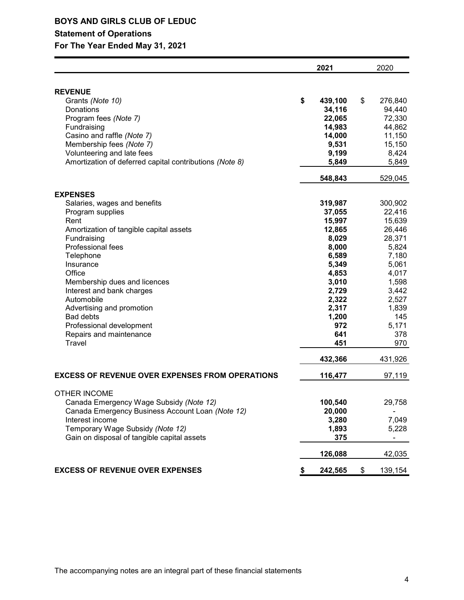|                                                         | 2021          | 2020          |
|---------------------------------------------------------|---------------|---------------|
|                                                         |               |               |
| <b>REVENUE</b><br>Grants (Note 10)                      | \$<br>439,100 | \$<br>276,840 |
| Donations                                               | 34,116        | 94,440        |
| Program fees (Note 7)                                   | 22,065        | 72,330        |
| Fundraising                                             | 14,983        | 44,862        |
| Casino and raffle (Note 7)                              | 14,000        | 11,150        |
| Membership fees (Note 7)                                | 9,531         | 15,150        |
| Volunteering and late fees                              | 9,199         | 8,424         |
| Amortization of deferred capital contributions (Note 8) | 5,849         | 5,849         |
|                                                         |               |               |
|                                                         | 548,843       | 529,045       |
| <b>EXPENSES</b>                                         |               |               |
| Salaries, wages and benefits                            | 319,987       | 300,902       |
| Program supplies                                        | 37,055        | 22,416        |
| Rent                                                    | 15,997        | 15,639        |
| Amortization of tangible capital assets                 | 12,865        | 26,446        |
| Fundraising                                             | 8,029         | 28,371        |
| Professional fees                                       | 8,000         | 5,824         |
| Telephone                                               | 6,589         | 7,180         |
| Insurance                                               | 5,349         | 5,061         |
| Office                                                  | 4,853         | 4,017         |
| Membership dues and licences                            | 3,010         | 1,598         |
| Interest and bank charges                               | 2,729         | 3,442         |
| Automobile                                              | 2,322         | 2,527         |
| Advertising and promotion<br><b>Bad debts</b>           | 2,317         | 1,839<br>145  |
| Professional development                                | 1,200<br>972  | 5,171         |
| Repairs and maintenance                                 | 641           | 378           |
| Travel                                                  | 451           | 970           |
|                                                         | 432,366       | 431,926       |
| <b>EXCESS OF REVENUE OVER EXPENSES FROM OPERATIONS</b>  | 116,477       | 97,119        |
|                                                         |               |               |
| <b>OTHER INCOME</b>                                     |               |               |
| Canada Emergency Wage Subsidy (Note 12)                 | 100,540       | 29,758        |
| Canada Emergency Business Account Loan (Note 12)        | 20,000        |               |
| Interest income                                         | 3,280         | 7,049         |
| Temporary Wage Subsidy (Note 12)                        | 1,893         | 5,228         |
| Gain on disposal of tangible capital assets             | 375           |               |
|                                                         | 126,088       | 42,035        |
| <b>EXCESS OF REVENUE OVER EXPENSES</b>                  | \$<br>242,565 | \$<br>139,154 |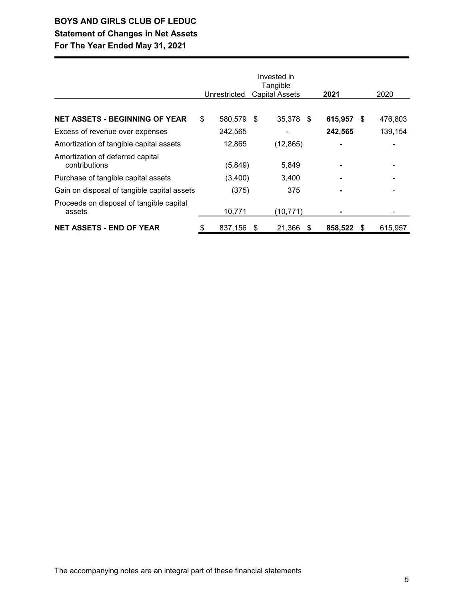# BOYS AND GIRLS CLUB OF LEDUC Statement of Changes in Net Assets For The Year Ended May 31, 2021

|                                                    | Invested in<br>Tangible<br><b>Capital Assets</b><br>Unrestricted<br>2021 |            |   |             |  |         | 2020 |         |
|----------------------------------------------------|--------------------------------------------------------------------------|------------|---|-------------|--|---------|------|---------|
| <b>NET ASSETS - BEGINNING OF YEAR</b>              | \$                                                                       | 580,579 \$ |   | 35,378 \$   |  | 615,957 | S    | 476,803 |
| Excess of revenue over expenses                    |                                                                          | 242,565    |   |             |  | 242,565 |      | 139,154 |
| Amortization of tangible capital assets            |                                                                          | 12,865     |   | (12, 865)   |  |         |      |         |
| Amortization of deferred capital<br>contributions  |                                                                          | (5,849)    |   | 5,849       |  |         |      |         |
| Purchase of tangible capital assets                |                                                                          | (3,400)    |   | 3,400       |  |         |      |         |
| Gain on disposal of tangible capital assets        |                                                                          | (375)      |   | 375         |  |         |      |         |
| Proceeds on disposal of tangible capital<br>assets |                                                                          | 10,771     |   | (10,771)    |  |         |      |         |
| <b>NET ASSETS - END OF YEAR</b>                    |                                                                          | 837,156    | S | 21,366<br>S |  | 858,522 | -S   | 615,957 |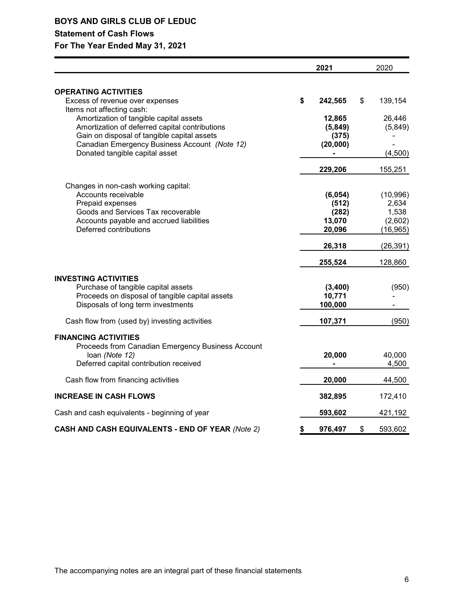## For The Year Ended May 31, 2021

|                                                                                                                                                                                                                                                          | 2021                                          | 2020                                                |
|----------------------------------------------------------------------------------------------------------------------------------------------------------------------------------------------------------------------------------------------------------|-----------------------------------------------|-----------------------------------------------------|
|                                                                                                                                                                                                                                                          |                                               |                                                     |
| <b>OPERATING ACTIVITIES</b><br>Excess of revenue over expenses                                                                                                                                                                                           | \$<br>242,565                                 | \$<br>139,154                                       |
| Items not affecting cash:<br>Amortization of tangible capital assets<br>Amortization of deferred capital contributions<br>Gain on disposal of tangible capital assets<br>Canadian Emergency Business Account (Note 12)<br>Donated tangible capital asset | 12,865<br>(5, 849)<br>(375)<br>(20,000)<br>-  | 26,446<br>(5,849)<br>(4,500)                        |
| Changes in non-cash working capital:                                                                                                                                                                                                                     | 229,206                                       | 155,251                                             |
| Accounts receivable<br>Prepaid expenses<br>Goods and Services Tax recoverable<br>Accounts payable and accrued liabilities<br>Deferred contributions                                                                                                      | (6,054)<br>(512)<br>(282)<br>13,070<br>20,096 | (10, 996)<br>2,634<br>1,538<br>(2,602)<br>(16, 965) |
|                                                                                                                                                                                                                                                          | 26,318                                        | (26, 391)                                           |
|                                                                                                                                                                                                                                                          | 255,524                                       | 128,860                                             |
| <b>INVESTING ACTIVITIES</b><br>Purchase of tangible capital assets<br>Proceeds on disposal of tangible capital assets<br>Disposals of long term investments                                                                                              | (3,400)<br>10,771<br>100,000                  | (950)                                               |
| Cash flow from (used by) investing activities                                                                                                                                                                                                            | 107,371                                       | (950)                                               |
| <b>FINANCING ACTIVITIES</b><br>Proceeds from Canadian Emergency Business Account<br>loan (Note 12)<br>Deferred capital contribution received                                                                                                             | 20,000                                        | 40,000<br>4,500                                     |
| Cash flow from financing activities                                                                                                                                                                                                                      | 20,000                                        | 44,500                                              |
| <b>INCREASE IN CASH FLOWS</b>                                                                                                                                                                                                                            | 382,895                                       | 172,410                                             |
| Cash and cash equivalents - beginning of year                                                                                                                                                                                                            | 593,602                                       | 421,192                                             |
| CASH AND CASH EQUIVALENTS - END OF YEAR (Note 2)                                                                                                                                                                                                         | \$<br>976,497                                 | \$<br>593,602                                       |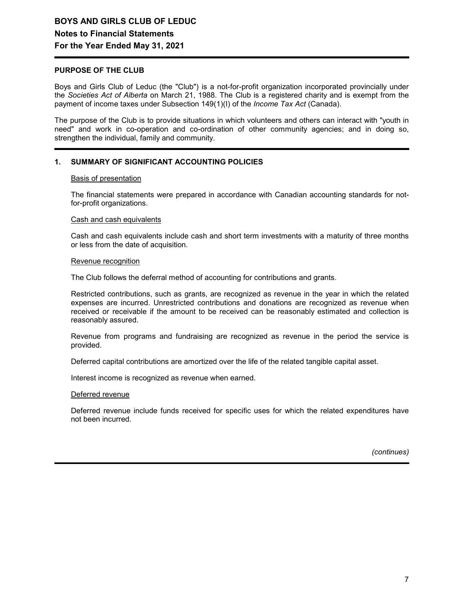## PURPOSE OF THE CLUB

Boys and Girls Club of Leduc (the "Club") is a not-for-profit organization incorporated provincially under the Societies Act of Alberta on March 21, 1988. The Club is a registered charity and is exempt from the payment of income taxes under Subsection 149(1)(I) of the Income Tax Act (Canada).

The purpose of the Club is to provide situations in which volunteers and others can interact with "youth in need" and work in co-operation and co-ordination of other community agencies; and in doing so, strengthen the individual, family and community.

## 1. SUMMARY OF SIGNIFICANT ACCOUNTING POLICIES

#### Basis of presentation

The financial statements were prepared in accordance with Canadian accounting standards for notfor-profit organizations.

#### Cash and cash equivalents

Cash and cash equivalents include cash and short term investments with a maturity of three months or less from the date of acquisition.

#### Revenue recognition

The Club follows the deferral method of accounting for contributions and grants.

Restricted contributions, such as grants, are recognized as revenue in the year in which the related expenses are incurred. Unrestricted contributions and donations are recognized as revenue when received or receivable if the amount to be received can be reasonably estimated and collection is reasonably assured.

Revenue from programs and fundraising are recognized as revenue in the period the service is provided.

Deferred capital contributions are amortized over the life of the related tangible capital asset.

Interest income is recognized as revenue when earned.

## Deferred revenue

Deferred revenue include funds received for specific uses for which the related expenditures have not been incurred.

(continues)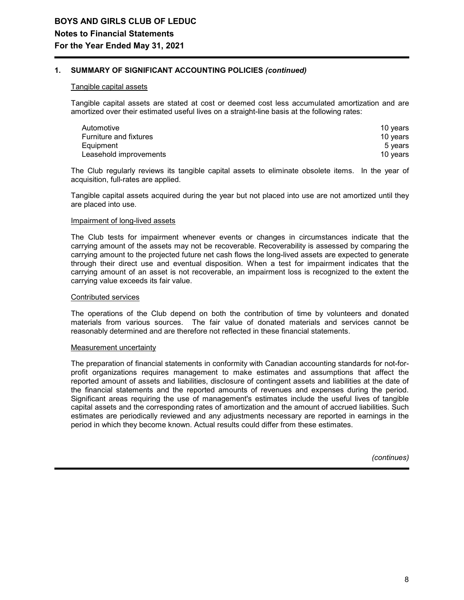## 1. SUMMARY OF SIGNIFICANT ACCOUNTING POLICIES (continued)

#### Tangible capital assets

Tangible capital assets are stated at cost or deemed cost less accumulated amortization and are amortized over their estimated useful lives on a straight-line basis at the following rates:

| Automotive             | 10 vears |
|------------------------|----------|
| Furniture and fixtures | 10 vears |
| Equipment              | 5 vears  |
| Leasehold improvements | 10 vears |

The Club regularly reviews its tangible capital assets to eliminate obsolete items. In the year of acquisition, full-rates are applied.

Tangible capital assets acquired during the year but not placed into use are not amortized until they are placed into use.

#### Impairment of long-lived assets

The Club tests for impairment whenever events or changes in circumstances indicate that the carrying amount of the assets may not be recoverable. Recoverability is assessed by comparing the carrying amount to the projected future net cash flows the long-lived assets are expected to generate through their direct use and eventual disposition. When a test for impairment indicates that the carrying amount of an asset is not recoverable, an impairment loss is recognized to the extent the carrying value exceeds its fair value.

#### Contributed services

The operations of the Club depend on both the contribution of time by volunteers and donated materials from various sources. The fair value of donated materials and services cannot be reasonably determined and are therefore not reflected in these financial statements.

#### Measurement uncertainty

The preparation of financial statements in conformity with Canadian accounting standards for not-forprofit organizations requires management to make estimates and assumptions that affect the reported amount of assets and liabilities, disclosure of contingent assets and liabilities at the date of the financial statements and the reported amounts of revenues and expenses during the period. Significant areas requiring the use of management's estimates include the useful lives of tangible capital assets and the corresponding rates of amortization and the amount of accrued liabilities. Such estimates are periodically reviewed and any adjustments necessary are reported in earnings in the period in which they become known. Actual results could differ from these estimates.

(continues)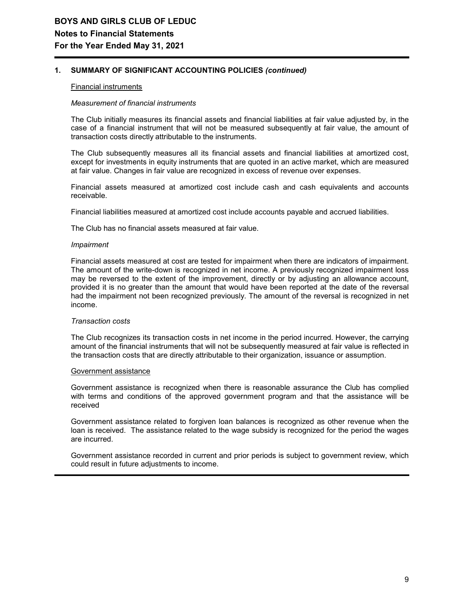## 1. SUMMARY OF SIGNIFICANT ACCOUNTING POLICIES (continued)

#### Financial instruments

#### Measurement of financial instruments

The Club initially measures its financial assets and financial liabilities at fair value adjusted by, in the case of a financial instrument that will not be measured subsequently at fair value, the amount of transaction costs directly attributable to the instruments.

The Club subsequently measures all its financial assets and financial liabilities at amortized cost, except for investments in equity instruments that are quoted in an active market, which are measured at fair value. Changes in fair value are recognized in excess of revenue over expenses.

Financial assets measured at amortized cost include cash and cash equivalents and accounts receivable.

Financial liabilities measured at amortized cost include accounts payable and accrued liabilities.

The Club has no financial assets measured at fair value.

#### Impairment

Financial assets measured at cost are tested for impairment when there are indicators of impairment. The amount of the write-down is recognized in net income. A previously recognized impairment loss may be reversed to the extent of the improvement, directly or by adjusting an allowance account, provided it is no greater than the amount that would have been reported at the date of the reversal had the impairment not been recognized previously. The amount of the reversal is recognized in net income.

## Transaction costs

The Club recognizes its transaction costs in net income in the period incurred. However, the carrying amount of the financial instruments that will not be subsequently measured at fair value is reflected in the transaction costs that are directly attributable to their organization, issuance or assumption.

#### Government assistance

Government assistance is recognized when there is reasonable assurance the Club has complied with terms and conditions of the approved government program and that the assistance will be received

Government assistance related to forgiven loan balances is recognized as other revenue when the loan is received. The assistance related to the wage subsidy is recognized for the period the wages are incurred.

Government assistance recorded in current and prior periods is subject to government review, which could result in future adjustments to income.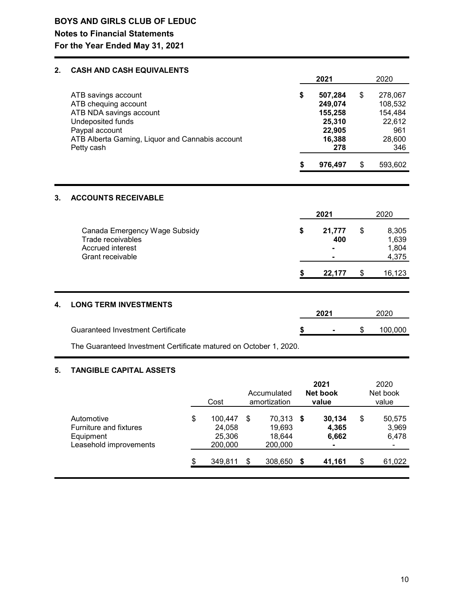# BOYS AND GIRLS CLUB OF LEDUC Notes to Financial Statements For the Year Ended May 31, 2021

## 2. CASH AND CASH EQUIVALENTS

|                                                                                                                                                                                |   | 2021                                                               | 2020                                                                  |
|--------------------------------------------------------------------------------------------------------------------------------------------------------------------------------|---|--------------------------------------------------------------------|-----------------------------------------------------------------------|
| ATB savings account<br>ATB chequing account<br>ATB NDA savings account<br>Undeposited funds<br>Paypal account<br>ATB Alberta Gaming, Liquor and Cannabis account<br>Petty cash | S | 507,284<br>249,074<br>155,258<br>25,310<br>22,905<br>16,388<br>278 | \$<br>278,067<br>108,532<br>154,484<br>22,612<br>961<br>28,600<br>346 |
|                                                                                                                                                                                |   | 976.497                                                            | \$<br>593.602                                                         |

## 3. ACCOUNTS RECEIVABLE

|                                                                                            |   | 2021                                              |   | 2020                             |
|--------------------------------------------------------------------------------------------|---|---------------------------------------------------|---|----------------------------------|
| Canada Emergency Wage Subsidy<br>Trade receivables<br>Accrued interest<br>Grant receivable | S | 21,777<br>400<br>$\blacksquare$<br>$\blacksquare$ | S | 8,305<br>1,639<br>1,804<br>4,375 |
|                                                                                            |   | 22.177                                            |   | 16.123                           |

## 4. LONG TERM INVESTMENTS

|                                   | 2021   | 2020    |
|-----------------------------------|--------|---------|
| Guaranteed Investment Certificate | $\sim$ | 100.000 |
|                                   |        |         |

The Guaranteed Investment Certificate matured on October 1, 2020.

## 5. TANGIBLE CAPITAL ASSETS

|                                                                                    | Cost                                         |   | Accumulated<br>amortization           | 2021<br>Net book<br>value |                               | 2020<br>Net book<br>value      |
|------------------------------------------------------------------------------------|----------------------------------------------|---|---------------------------------------|---------------------------|-------------------------------|--------------------------------|
| Automotive<br><b>Furniture and fixtures</b><br>Equipment<br>Leasehold improvements | \$<br>100,447<br>24,058<br>25,306<br>200,000 | S | 70,313<br>19,693<br>18,644<br>200,000 | - \$                      | 30,134<br>4,365<br>6,662<br>۰ | \$<br>50,575<br>3,969<br>6,478 |
|                                                                                    | 349,811                                      | S | 308,650                               |                           | 41,161                        | \$<br>61,022                   |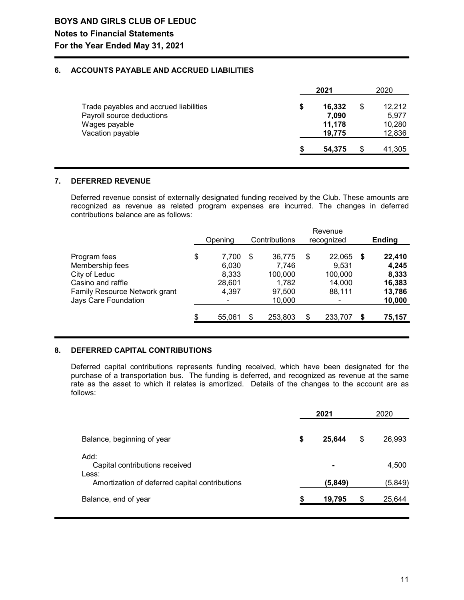## 6. ACCOUNTS PAYABLE AND ACCRUED LIABILITIES

|                                                                                                          | 2021 |                                     | 2020 |                                     |  |
|----------------------------------------------------------------------------------------------------------|------|-------------------------------------|------|-------------------------------------|--|
| Trade payables and accrued liabilities<br>Payroll source deductions<br>Wages payable<br>Vacation payable | \$   | 16,332<br>7.090<br>11,178<br>19.775 | \$   | 12,212<br>5.977<br>10,280<br>12,836 |  |
|                                                                                                          | S    | 54,375                              | S    | 41,305                              |  |

## 7. DEFERRED REVENUE

Deferred revenue consist of externally designated funding received by the Club. These amounts are recognized as revenue as related program expenses are incurred. The changes in deferred contributions balance are as follows:

|                               | Opening      | Contributions | Revenue<br>recognized    |   | <b>Ending</b> |
|-------------------------------|--------------|---------------|--------------------------|---|---------------|
| Program fees                  | \$<br>7,700  | \$<br>36,775  | \$<br>22,065             | S | 22,410        |
| Membership fees               | 6,030        | 7.746         | 9.531                    |   | 4.245         |
| City of Leduc                 | 8,333        | 100,000       | 100,000                  |   | 8,333         |
| Casino and raffle             | 28,601       | 1,782         | 14,000                   |   | 16,383        |
| Family Resource Network grant | 4,397        | 97,500        | 88,111                   |   | 13,786        |
| Jays Care Foundation          |              | 10,000        | $\overline{\phantom{a}}$ |   | 10,000        |
|                               | \$<br>55,061 | \$<br>253,803 | \$<br>233,707            | S | 75,157        |

## 8. DEFERRED CAPITAL CONTRIBUTIONS

Deferred capital contributions represents funding received, which have been designated for the purchase of a transportation bus. The funding is deferred, and recognized as revenue at the same rate as the asset to which it relates is amortized. Details of the changes to the account are as follows:

|                                                 | 2021 |                |    | 2020    |  |  |
|-------------------------------------------------|------|----------------|----|---------|--|--|
| Balance, beginning of year                      | \$   | 25,644         | \$ | 26,993  |  |  |
| Add:<br>Capital contributions received<br>Less: |      | $\blacksquare$ |    | 4,500   |  |  |
| Amortization of deferred capital contributions  |      | (5,849)        |    | (5,849) |  |  |
| Balance, end of year                            | \$   | 19,795         | \$ | 25,644  |  |  |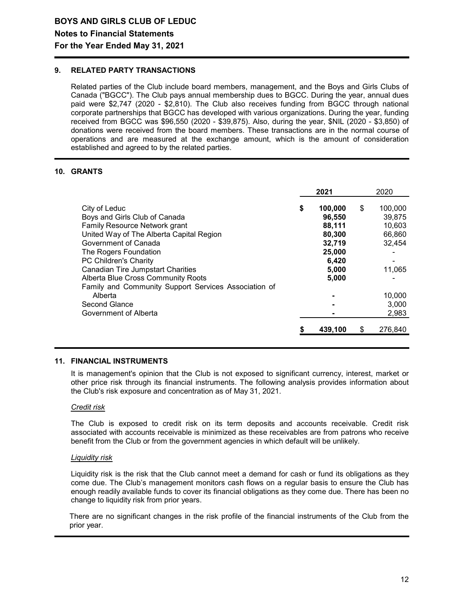## 9. RELATED PARTY TRANSACTIONS

Related parties of the Club include board members, management, and the Boys and Girls Clubs of Canada ("BGCC"). The Club pays annual membership dues to BGCC. During the year, annual dues paid were \$2,747 (2020 - \$2,810). The Club also receives funding from BGCC through national corporate partnerships that BGCC has developed with various organizations. During the year, funding received from BGCC was \$96,550 (2020 - \$39,875). Also, during the year, \$NIL (2020 - \$3,850) of donations were received from the board members. These transactions are in the normal course of operations and are measured at the exchange amount, which is the amount of consideration established and agreed to by the related parties.

## 10. GRANTS

|                                                                                                                                                                                                                                                                                         | 2021                                                                                       |    | 2020                                                      |  |
|-----------------------------------------------------------------------------------------------------------------------------------------------------------------------------------------------------------------------------------------------------------------------------------------|--------------------------------------------------------------------------------------------|----|-----------------------------------------------------------|--|
| City of Leduc<br>Boys and Girls Club of Canada<br>Family Resource Network grant<br>United Way of The Alberta Capital Region<br>Government of Canada<br>The Rogers Foundation<br>PC Children's Charity<br><b>Canadian Tire Jumpstart Charities</b><br>Alberta Blue Cross Community Roots | \$<br>100,000<br>96,550<br>88,111<br>80,300<br>32,719<br>25,000<br>6,420<br>5,000<br>5,000 | \$ | 100,000<br>39,875<br>10,603<br>66,860<br>32,454<br>11,065 |  |
| Family and Community Support Services Association of<br>Alberta<br>Second Glance<br>Government of Alberta                                                                                                                                                                               |                                                                                            |    | 10,000<br>3,000<br>2,983                                  |  |
|                                                                                                                                                                                                                                                                                         | 439.100                                                                                    | \$ | 276.840                                                   |  |

## 11. FINANCIAL INSTRUMENTS

It is management's opinion that the Club is not exposed to significant currency, interest, market or other price risk through its financial instruments. The following analysis provides information about the Club's risk exposure and concentration as of May 31, 2021.

## Credit risk

The Club is exposed to credit risk on its term deposits and accounts receivable. Credit risk associated with accounts receivable is minimized as these receivables are from patrons who receive benefit from the Club or from the government agencies in which default will be unlikely.

## Liquidity risk

Liquidity risk is the risk that the Club cannot meet a demand for cash or fund its obligations as they come due. The Club's management monitors cash flows on a regular basis to ensure the Club has enough readily available funds to cover its financial obligations as they come due. There has been no change to liquidity risk from prior years.

There are no significant changes in the risk profile of the financial instruments of the Club from the prior year.